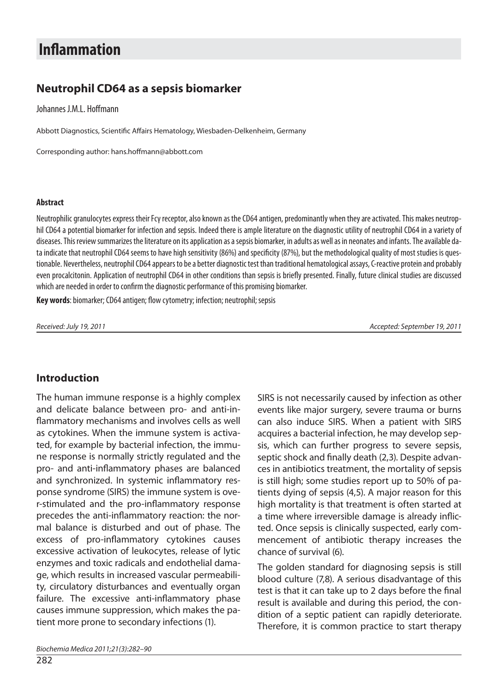# **Inflammation**

## **Neut rop hil CD64 as a sep sis bio mar ker**

Johannes J.M.L. Hoffmann

Abbott Diagnostics, Scientific Affairs Hematology, Wiesbaden-Delkenheim, Germany

Corresponding author: hans.hoffmann@abbott.com

#### **Abstract**

Neutrophilic granulocytes express their Fcy receptor, also known as the CD64 antigen, predominantly when they are activated. This makes neutrophil CD64 a potential biomarker for infection and sepsis. Indeed there is ample literature on the diagnostic utility of neutrophil CD64 in a variety of diseases. This review summarizes the literature on its application as a sepsis biomarker, in adults as well as in neonates and infants. The available data indicate that neutrophil CD64 seems to have high sensitivity (86%) and specificity (87%), but the methodological quality of most studies is questionable. Nevertheless, neutrophil CD64 appears to be a better diagnostic test than traditional hematological assays, C-reactive protein and probably even procalcitonin. Application of neutrophil CD64 in other conditions than sepsis is briefly presented. Finally, future clinical studies are discussed which are needed in order to confirm the diagnostic performance of this promising biomarker.

Key words: biomarker; CD64 antigen; flow cytometry; infection; neutrophil; sepsis

Received: July 19, 2011 **Acceleration Control Control Control Control Control Control Control Control Control Control Control Control Control Control Control Control Control Control Control Control Control Control Control** 

### **In tro duc tion**

The human immune response is a highly complex and delicate balance between pro- and anti-inflammatory mechanisms and involves cells as well as cytokines. When the immune system is activated, for example by bacterial infection, the immune response is normally strictly regulated and the pro- and anti-inflammatory phases are balanced and synchronized. In systemic inflammatory response syndrome (SIRS) the immune system is over-stimulated and the pro-inflammatory response precedes the anti-inflammatory reaction: the normal balance is disturbed and out of phase. The excess of pro-inflammatory cytokines causes excessive activation of leukocytes, release of lytic enzymes and toxic radicals and endothelial damage, which results in increased vascular permeability, circulatory disturbances and eventually organ failure. The excessive anti-inflammatory phase causes immune suppression, which makes the patient more prone to secondary infections (1).

SIRS is not necessarily caused by infection as other events like major surgery, severe trauma or burns can also induce SIRS. When a patient with SIRS acquires a bacterial infection, he may develop sepsis, which can further progress to severe sepsis, septic shock and finally death (2,3). Despite advances in antibiotics treatment, the mortality of sepsis is still high; some studies report up to 50% of patients dying of sepsis (4,5). A major reason for this high mortality is that treatment is often started at a time where irreversible damage is already inflicted. Once sepsis is clinically suspected, early commencement of antibiotic therapy increases the chance of survival (6).

The golden standard for diagnosing sepsis is still blood culture (7,8). A serious disadvantage of this test is that it can take up to 2 days before the final result is available and during this period, the condition of a septic patient can rapidly deteriorate. Therefore, it is common practice to start therapy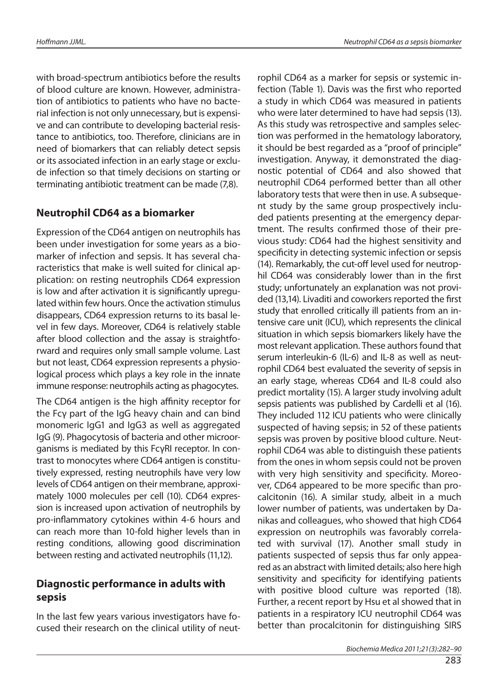with broad-spectrum antibiotics before the results of blood culture are known. However, administration of antibiotics to patients who have no bacterial infection is not only unnecessary, but is expensive and can contribute to developing bacterial resistance to antibiotics, too. Therefore, clinicians are in need of biomarkers that can reliably detect sepsis or its associated infection in an early stage or exclude infection so that timely decisions on starting or ter minating antibiotic treat ment can be made (7,8).

### **Neutrophil CD64 as a biomarker**

Expression of the CD64 antigen on neutrophils has been under investigation for some years as a biomarker of infection and sepsis. It has several characteristics that make is well suited for clinical application: on resting neutrophils CD64 expression is low and after activation it is significantly upregulated within few hours. Once the activation stimulus disappears, CD64 expression returns to its basal level in few days. Moreover, CD64 is relatively stable after blood collection and the assay is straightforward and requires only small sample volume. Last but not least, CD64 expression represents a physiological process which plays a key role in the innate immune response: neutrophils acting as phagocytes.

The CD64 antigen is the high affinity receptor for the Fcy part of the IgG heavy chain and can bind monomeric IgG1 and IgG3 as well as aggregated IgG (9). Phagocytosis of bacteria and other microorganisms is mediated by this FcγRI receptor. In contrast to monocytes where CD64 antigen is constitutively expressed, resting neutrophils have very low levels of CD64 antigen on their membrane, approximately 1000 molecules per cell (10). CD64 expression is increased upon activation of neutrophils by pro-inflammatory cytokines within 4-6 hours and can reach more than 10-fold higher levels than in resting conditions, allowing good discrimination between resting and activated neutrophils (11,12).

### **Diagnostic performance in adults with sep sis**

In the last few years various investigators have focused their research on the clinical utility of neutrophil CD64 as a marker for sepsis or systemic infection (Table 1). Davis was the first who reported a study in which CD64 was measured in patients who were later determined to have had sepsis (13). As this study was retrospective and samples selection was performed in the hematology laboratory, it should be best regarded as a "proof of principle" investigation. Anyway, it demonstrated the diagnostic potential of CD64 and also showed that neutrophil CD64 performed better than all other laboratory tests that were then in use. A subsequent study by the same group prospectively included patients presenting at the emergency department. The results confirmed those of their previous study: CD64 had the highest sensitivity and specificity in detecting systemic infection or sepsis (14). Remarkably, the cut-off level used for neutrophil CD64 was considerably lower than in the first study; unfortunately an explanation was not provided (13,14). Livaditi and coworkers reported the first study that enrolled critically ill patients from an intensive care unit (ICU), which represents the clinical situation in which sepsis biomarkers likely have the most relevant application. These authors found that serum interleukin-6 (IL-6) and IL-8 as well as neutrophil CD64 best evaluated the severity of sepsis in an early stage, whereas CD64 and IL-8 could also predict mortality (15). A larger study involving adult sepsis patients was published by Cardelli et al (16). They included 112 ICU patients who were clinically sus pected of having sepsis; in 52 of the sepatients sepsis was proven by positive blood culture. Neutrophil CD64 was able to distinguish these patients from the ones in whom sepsis could not be proven with very high sensitivity and specificity. Moreover, CD64 appeared to be more specific than procalcitonin (16). A similar study, albeit in a much lower number of patients, was undertaken by Danikas and colleagues, who showed that high CD64 expression on neutrophils was favorably correlated with survival (17). Another small study in patients suspected of sepsis thus far only appeared as an abstract with limited details; also here high sen sitivity and specificity for identifying patients with positive blood culture was reported (18). Further, a recent report by Hsu et al showed that in patients in a respiratory ICU neutrophil CD64 was better than procalcitonin for distinguishing SIRS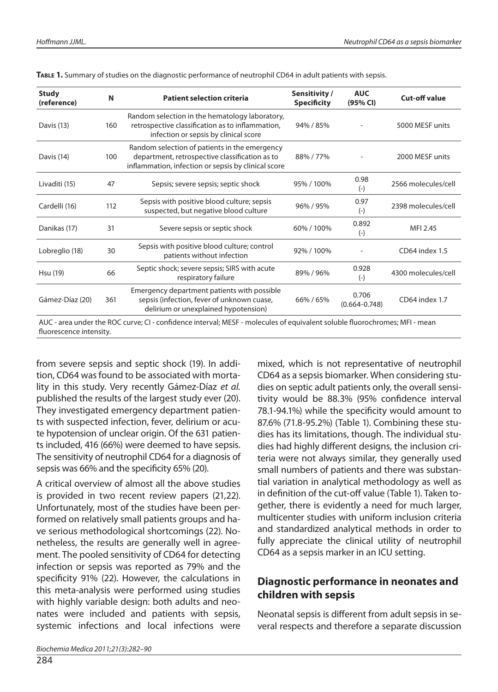| <b>Study</b><br>(reference) | N   | <b>Patient selection criteria</b>                                                                                                                      | Sensitivity /<br><b>Specificity</b> | <b>AUC</b><br>(95% CI)     | <b>Cut-off value</b> |
|-----------------------------|-----|--------------------------------------------------------------------------------------------------------------------------------------------------------|-------------------------------------|----------------------------|----------------------|
| Davis (13)                  | 160 | Random selection in the hematology laboratory,<br>retrospective classification as to inflammation,<br>infection or sepsis by clinical score            | 94% / 85%                           |                            | 5000 MESF units      |
| Davis (14)                  | 100 | Random selection of patients in the emergency<br>department, retrospective classification as to<br>inflammation, infection or sepsis by clinical score | 88%/77%                             |                            | 2000 MESF units      |
| Livaditi (15)               | 47  | Sepsis; severe sepsis; septic shock                                                                                                                    | 95% / 100%                          | 0.98<br>$(-)$              | 2566 molecules/cell  |
| Cardelli (16)               | 112 | Sepsis with positive blood culture; sepsis<br>suspected, but negative blood culture                                                                    | 96% / 95%                           | 0.97<br>$(-)$              | 2398 molecules/cell  |
| Danikas (17)                | 31  | Severe sepsis or septic shock                                                                                                                          | 60% / 100%                          | 0.892<br>$(-)$             | MFI 2.45             |
| Lobreglio (18)              | 30  | Sepsis with positive blood culture; control<br>patients without infection                                                                              | 92% / 100%                          |                            | CD64 index 1.5       |
| Hsu (19)                    | 66  | Septic shock; severe sepsis; SIRS with acute<br>respiratory failure                                                                                    | 89%/96%                             | 0.928<br>$(-)$             | 4300 molecules/cell  |
| Gámez-Díaz (20)             | 361 | Emergency department patients with possible<br>sepsis (infection, fever of unknown cuase,<br>delirium or unexplained hypotension)                      | 66%/65%                             | 0.706<br>$(0.664 - 0.748)$ | CD64 index 1.7       |

**TABLE 1.** Summary of studies on the diagnostic performance of neutrophil CD64 in adult patients with sepsis.

AUC - area under the ROC curve: CI - confidence interval: MESF - molecules of equivalent soluble fluorochromes: MFI - mean fluorescence intensity.

from severe sepsis and septic shock (19). In addition, CD64 was found to be associated with mortality in this study. Very recently Gámez-Díaz et al. published the results of the largest study ever (20). They investigated emergency department patients with suspected infection, fever, delirium or acute hypotension of unclear origin. Of the 631 patients included, 416 (66%) were deemed to have sepsis. The sensitivity of neutrophil CD64 for a diagnosis of sepsis was  $66%$  and the specificity  $65%$  (20).

A critical overview of almost all the above studies is provided in two recent review papers (21,22). Unfortunately, most of the studies have been performed on relatively small patients groups and have serious methodological shortcomings (22). Nonetheless, the results are generally well in agreement. The pooled sensitivity of CD64 for detecting infection or sepsis was reported as 79% and the specificity 91% (22). However, the calculations in this meta-analysis were performed using studies with highly variable design: both adults and neonates were included and patients with sepsis, systemic infections and local infections were

mixed, which is not representative of neutrophil CD64 as a sepsis biomarker. When considering studies on septic adult patients only, the overall sensitivity would be 88.3% (95% confidence interval 78.1-94.1%) while the specificity would amount to 87.6% (71.8-95.2%) (Table 1). Combining these studies has its limitations, though. The individual studies had highly different designs, the inclusion criteria were not always similar, they generally used small numbers of patients and there was substantial variation in analytical methodology as well as in definition of the cut-off value (Table 1). Taken together, there is evidently a need for much larger, multicenter studies with uniform inclusion criteria and standardized analytical methods in order to fully appreciate the clinical utility of neutrophil CD64 as a sepsis marker in an ICU setting.

### **Diagnostic performance in neonates and chil dren wi th sep sis**

Neonatal sepsis is different from adult sepsis in several respects and therefore a separate discussion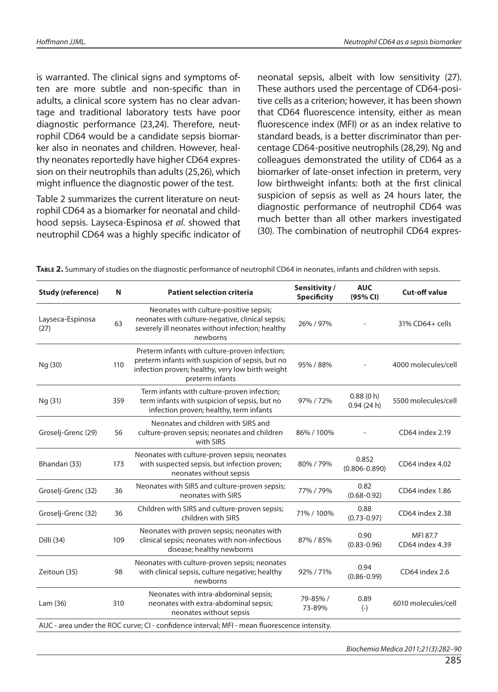is warranted. The clinical signs and symptoms often are more subtle and non-specific than in adults, a clinical score system has no clear advantage and traditional laboratory tests have poor diagnostic performance (23,24). Therefore, neutrophil CD64 would be a candidate sepsis biomarker also in neonates and children. However, healthy neonates reportedly have higher CD64 expression on their neutrophils than adults (25,26), which might influence the diagnostic power of the test.

Table 2 summarizes the current literature on neutrophil CD64 as a biomarker for neonatal and childhood sepsis. Layseca-Espinosa et al. showed that neutrophil CD64 was a highly specific indicator of neonatal sepsis, albeit with low sensitivity (27). These authors used the percentage of CD64-positive cells as a criterion; however, it has been shown that CD64 fluorescence intensity, either as mean fluorescence index (MFI) or as an index relative to standard beads, is a better discriminator than percentage CD64-positive neutrophils (28,29). Ng and colleagues demonstrated the utility of CD64 as a bio marker of late-onset infection in preterm, very low birthweight infants: both at the first clinical suspicion of sepsis as well as 24 hours later, the diagnostic performance of neutrophil CD64 was much better than all other markers investigated (30). The combination of neutrophil CD64 expres-

| <b>Study (reference)</b> | N   | <b>Patient selection criteria</b>                                                                                                                                         | Sensitivity /<br><b>Specificity</b> | <b>AUC</b><br>(95% CI)     | <b>Cut-off value</b>        |
|--------------------------|-----|---------------------------------------------------------------------------------------------------------------------------------------------------------------------------|-------------------------------------|----------------------------|-----------------------------|
| Layseca-Espinosa<br>(27) | 63  | Neonates with culture-positive sepsis;<br>neonates with culture-negative, clinical sepsis;<br>severely ill neonates without infection; healthy<br>newborns                | 26% / 97%                           |                            | 31% CD64+ cells             |
| Ng (30)                  | 110 | Preterm infants with culture-proven infection;<br>preterm infants with suspicion of sepsis, but no<br>infection proven; healthy, very low birth weight<br>preterm infants | 95% / 88%                           |                            | 4000 molecules/cell         |
| Ng (31)                  | 359 | Term infants with culture-proven infection;<br>term infants with suspicion of sepsis, but no<br>infection proven; healthy, term infants                                   | 97%/72%                             | 0.88(0 h)<br>0.94(24 h)    | 5500 molecules/cell         |
| Groselj-Grenc (29)       | 56  | Neonates and children with SIRS and<br>culture-proven sepsis; neonates and children<br>with SIRS                                                                          | 86% / 100%                          |                            | CD64 index 2.19             |
| Bhandari (33)            | 173 | Neonates with culture-proven sepsis; neonates<br>with suspected sepsis, but infection proven;<br>neonates without sepsis                                                  | 80%/79%                             | 0.852<br>$(0.806 - 0.890)$ | CD64 index 4.02             |
| Groselj-Grenc (32)       | 36  | Neonates with SIRS and culture-proven sepsis;<br>neonates with SIRS                                                                                                       | 77% / 79%                           | 0.82<br>$(0.68 - 0.92)$    | CD64 index 1.86             |
| Groselj-Grenc (32)       | 36  | Children with SIRS and culture-proven sepsis;<br>children with SIRS                                                                                                       | 71% / 100%                          | 0.88<br>$(0.73 - 0.97)$    | CD64 index 2.38             |
| Dilli (34)               | 109 | Neonates with proven sepsis; neonates with<br>clinical sepsis; neonates with non-infectious<br>disease; healthy newborns                                                  | 87% / 85%                           | 0.90<br>$(0.83 - 0.96)$    | MFI 87.7<br>CD64 index 4.39 |
| Zeitoun (35)             | 98  | Neonates with culture-proven sepsis; neonates<br>with clinical sepsis, culture negative; healthy<br>newborns                                                              | 92% / 71%                           | 0.94<br>$(0.86 - 0.99)$    | CD64 index 2.6              |
| Lam (36)                 | 310 | Neonates with intra-abdominal sepsis;<br>neonates with extra-abdominal sepsis;<br>neonates without sepsis                                                                 | 79-85% /<br>73-89%                  | 0.89<br>$(-)$              | 6010 molecules/cell         |
|                          |     | AUC - area under the ROC curve; CI - confidence interval; MFI - mean fluorescence intensity.                                                                              |                                     |                            |                             |

Biochemia Medica 2011;21(3):282–90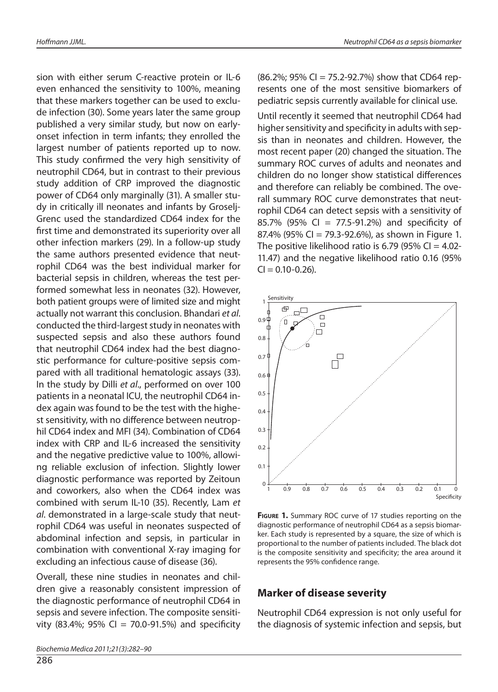sion with either serum C-reactive protein or IL-6 even enhanced the sensitivity to 100%, meaning that these markers together can be used to exclude infection (30). Some years later the same group published a very similar study, but now on earlyonset infection in term infants; they enrolled the largest number of patients reported up to now. This study confirmed the very high sensitivity of neutrophil CD64, but in contrast to their previous study addition of CRP improved the diagnostic power of CD64 only marginally (31). A smaller study in critically ill neonates and infants by Groselj-Grenc used the standardized CD64 index for the first time and demonstrated its superiority over all other infection markers (29). In a follow-up study the same authors presented evidence that neutrophil CD64 was the best individual marker for bacterial sepsis in children, whereas the test performed somewhat less in neonates (32). However, both patient groups were of limited size and might actually not warrant this conclusion. Bhandari et al. conducted the third-largest study in neonates with suspected sepsis and also these authors found that neutrophil CD64 index had the best diagnostic performance for culture-positive sepsis compared with all traditional hematologic assays (33). In the study by Dilli et al., performed on over 100 patients in a neonatal ICU, the neutrophil CD64 index again was found to be the test with the highest sensitivity, with no difference between neutrophil CD64 index and MFI (34). Combination of CD64 index with CRP and IL-6 increased the sensitivity and the negative predictive value to 100%, allowing reliable exclusion of infection. Slightly lower diagnostic performance was reported by Zeitoun and coworkers, also when the CD64 index was combined with serum IL-10 (35). Recently, Lam et al. demonstrated in a large-scale study that neutrophil CD64 was useful in neonates suspected of abdominal infection and sepsis, in particular in combination with conventional X-ray imaging for excluding an infectious cause of disease (36).

Overall, these nine studies in neonates and children give a reasonably consistent impression of the diagnostic performance of neutrophil CD64 in sepsis and severe infection. The composite sensitivity (83.4%; 95% CI = 70.0-91.5%) and specificity Until recently it seemed that neutrophil CD64 had higher sensitivity and specificity in adults with sepsis than in neonates and children. However, the most recent paper (20) changed the situation. The summary ROC curves of adults and neonates and children do no longer show statistical differences and therefore can reliably be combined. The overall summary ROC curve demonstrates that neutrophil CD64 can detect sepsis with a sensitivity of 85.7% (95% CI = 77.5-91.2%) and specificity of 87.4% (95% CI = 79.3-92.6%), as shown in Figure 1. The positive like lihood ratio is 6.79 (95% CI = 4.02-11.47) and the negative like lihood ratio 0.16 (95%)  $CI = 0.10 - 0.26$ .



**FIGURE 1.** Summary ROC curve of 17 studies reporting on the diagnostic performance of neutrophil CD64 as a sepsis biomarker. Each study is represented by a square, the size of which is proportional to the number of patients included. The black dot is the composite sensitivity and specificity; the area around it represents the 95% confidence range.

#### **Marker of disease severity**

Neutrophil CD64 expression is not only useful for the diagnosis of systemic infection and sepsis, but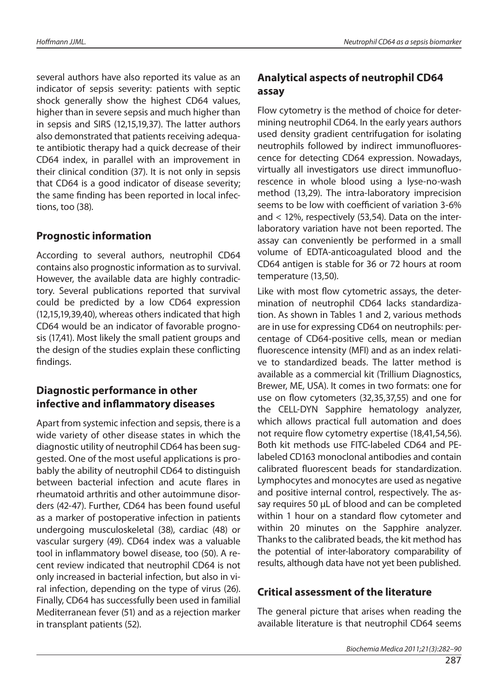several authors have also reported its value as an indicator of sepsis severity: patients with septic shock generally show the highest CD64 values, higher than in severe sepsis and much higher than in sepsis and SIRS (12,15,19,37). The latter authors also demonstrated that patients receiving adequate antibiotic therapy had a quick decrease of their CD64 index, in parallel with an improvement in their clinical condition (37). It is not only in sepsis that CD64 is a good indicator of disease severity; the same finding has been reported in local infections, too  $(38)$ .

### **Prognostic information**

According to several authors, neutrophil CD64 contains also prognostic information as to survival. However, the available data are highly contradictory. Several publications reported that survival could be predicted by a low CD64 expression  $(12,15,19,39,40)$ , whereas others indicated that high CD64 would be an indicator of favorable prognosis (17,41). Most likely the small patient groups and the design of the studies explain these conflicting findings.

### **Diagnostic performance in other in fec ti ve and in fl am ma to ry di sea ses**

Apart from systemic infection and sepsis, there is a wide variety of other disease states in which the diagnostic utility of neutrophil CD64 has been suggested. One of the most useful applications is probably the ability of neutrophil CD64 to distinguish between bacterial infection and acute flares in rheu matoid arthritis and other autoim mune disorders (42-47). Further, CD64 has been found useful as a marker of postoperative infection in patients undergoing musculoskeletal (38), cardiac (48) or vas cular surgery (49). CD64 index was a valuable tool in inflammatory bowel disease, too (50). A recent review indicated that neutrophil CD64 is not only increased in bacterial infection, but also in viral infection, depending on the type of virus (26). Finally, CD64 has successfully been used in familial Mediterranean fever (51) and as a rejection marker in transplant patients (52).

# **Ana lyti cal as pec ts of neut rop hil CD64 as say**

Flow cytometry is the method of choice for determining neutrophil CD64. In the early years authors used density gradient centrifugation for isolating neutrophils followed by indirect immunofluorescence for detecting CD64 expression. Nowadays, virtually all investigators use direct immunofluorescence in whole blood using a lyse-no-wash method (13,29). The intra-laboratory imprecision seems to be low with coefficient of variation 3-6% and  $<$  12%, respectively (53,54). Data on the interlaboratory variation have not been reported. The assay can conveniently be performed in a small volume of EDTA-anticoagulated blood and the CD64 antigen is stable for 36 or 72 hours at room temperature (13,50).

Like with most flow cytometric assays, the determination of neutrophil CD64 lacks standardization. As shown in Tables 1 and 2, various methods are in use for expressing CD64 on neutrophils: percentage of CD64-positive cells, mean or median fluorescence intensity (MFI) and as an index relative to standardized beads. The latter method is available as a commercial kit (Trillium Diagnostics, Brewer, ME, USA). It comes in two formats: one for use on flow cytometers (32,35,37,55) and one for the CELL-DYN Sapphire hematology analyzer, which allows practical full automation and does not require flow cytometry expertise (18,41,54,56). Both kit methods use FITC-labeled CD64 and PElabeled CD163 monoclonal antibodies and contain calibrated fluorescent beads for standardization. Lymphocytes and monocytes are used as negative and positive internal control, respectively. The assay requires 50 µL of blood and can be completed within 1 hour on a standard flow cytometer and within 20 minutes on the Sapphire analyzer. Thanks to the calibrated beads, the kit method has the potential of inter-laboratory comparability of re sults, although data have not yet been published.

### **Critical assessment of the literature**

The general picture that arises when reading the available literature is that neutrophil CD64 seems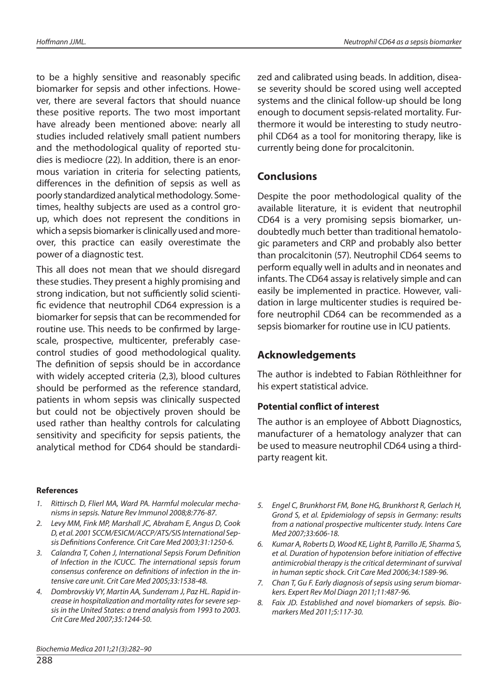to be a highly sensitive and reasonably specific biomarker for sepsis and other infections. However, there are several factors that should nuance these positive reports. The two most important have already been mentioned above: nearly all studies included relatively small patient numbers and the methodological quality of reported studies is mediocre (22). In addition, there is an enormous variation in criteria for selecting patients, differences in the definition of sepsis as well as poorly standardized analytical methodology. Sometimes, healthy subjects are used as a control group, which does not represent the conditions in which a sepsis biomarker is clinically used and moreover, this practice can easily overestimate the power of a diagnostic test.

This all does not mean that we should disregard these studies. They present a highly promising and strong indication, but not sufficiently solid scientific evidence that neutrophil CD64 expression is a bio marker for sepsis that can be recommended for routine use. This needs to be confirmed by largescale, prospective, multicenter, preferably casecontrol studies of good methodological quality. The definition of sepsis should be in accordance with widely accepted criteria  $(2,3)$ , blood cultures should be performed as the reference standard, patients in whom sepsis was clinically suspected but could not be objectively proven should be used rather than healthy controls for calculating sen sitivity and specificity for sepsis patients, the analytical method for CD64 should be standardi-

#### **Re fe ren ces**

- 1. Rittirsch D, Flierl MA, Ward PA. Harmful molecular mechanisms in sepsis. Nature Rev Immunol 2008;8:776-87.
- 2. Levy MM, Fink MP, Marshall JC, Abraham E, Angus D, Cook D, et al. 2001 SCCM/ESICM/ACCP/ATS/SIS International Sepsis Definitions Conference. Crit Care Med 2003;31:1250-6.
- 3. Calandra T, Cohen J, International Sepsis Forum Definition of Infection in the ICUCC. The international sepsis forum consensus conference on definitions of infection in the intensive care unit. Crit Care Med 2005;33:1538-48.
- 4. Dombrovskiy VY, Martin AA, Sunderram J, Paz HL. Rapid increase in hospitalization and mortality rates for severe sepsis in the United States: a trend analysis from 1993 to 2003. Crit Care Med 2007;35:1244-50.

zed and calibrated using beads. In addition, disease severity should be scored using well accepted systems and the clinical follow-up should be long enough to document sepsis-related mortality. Furthermore it would be interesting to study neutrophil CD64 as a tool for monitoring therapy, like is currently being done for procalcitonin.

#### **Conclusions**

Despite the poor methodological quality of the available literature, it is evident that neutrophil CD64 is a very promising sepsis biomarker, undoubtedly much better than traditional hematologic parameters and CRP and probably also better than procalcitonin (57). Neutrophil CD64 seems to perform equally well in adults and in neonates and infants. The CD64 assay is relatively simple and can easily be implemented in practice. However, validation in large multicenter studies is required before neutrophil CD64 can be recommended as a sepsis biomarker for routine use in ICU patients.

### **Ac knowled ge men ts**

The author is indebted to Fabian Röthleithner for his expert statistical advice.

#### **Potential conflict of interest**

The author is an employee of Abbott Diagnostics, manufacturer of a hematology analyzer that can be used to measure neutrophil CD64 using a thirdparty reagent kit.

- 5. Engel C, Brunkhorst FM, Bone HG, Brunkhorst R, Gerlach H, Grond S, et al. Epidemiology of sepsis in Germany: results from a national prospective multicenter study. Intens Care Med 2007;33:606-18.
- 6. Kumar A, Roberts D, Wood KE, Light B, Parrillo JE, Sharma S, et al. Duration of hypotension before initiation of effective antimicrobial therapy is the critical determinant of survival in human septic shock. Crit Care Med 2006;34:1589-96.
- 7. Chan T, Gu F. Early diagnosis of sepsis using serum biomarkers. Expert Rev Mol Diagn 2011;11:487-96.
- 8. Faix JD. Established and novel biomarkers of sepsis. Biomarkers Med 2011;5:117-30.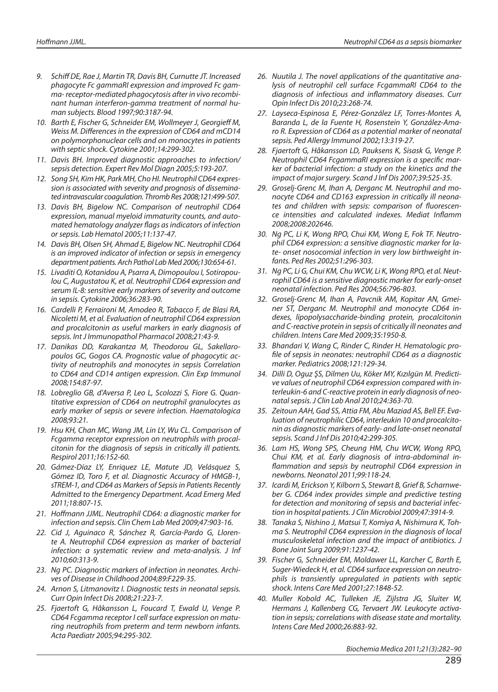- 9. Schiff DE, Rae J, Martin TR, Davis BH, Curnutte JT, Increased phagocyte Fc gammaRI expression and improved Fc gamma- receptor-mediated phagocytosis after in vivo recombinant human interferon-gamma treatment of normal human subjects. Blood 1997;90:3187-94.
- 10. Barth E, Fischer G, Schneider EM, Wollmeyer J, Georgieff M, Weiss M. Differences in the expression of CD64 and mCD14 on polymorphonuclear cells and on monocytes in patients with septic shock. Cytokine 2001;14:299-302.
- 11. Davis BH. Improved diagnostic approaches to infection/ sepsis detection. Expert Rev Mol Diagn 2005;5:193-207.
- 12. Song SH, Kim HK, Park MH, Cho HI. Neutrophil CD64 expression is associated with severity and prognosis of disseminated intravascular coagulation. Thromb Res 2008;121:499-507.
- 13. Davis BH, Bigelow NC. Comparison of neutrophil CD64 expression, manual myeloid immaturity counts, and automated hematology analyzer flags as indicators of infection or sepsis. Lab Hematol 2005;11:137-47.
- 14. Davis BH, Olsen SH, Ahmad E, Bigelow NC. Neutrophil CD64 is an improved indicator of infection or sepsis in emergency department patients. Arch Pathol Lab Med 2006;130:654-61.
- 15. Livaditi O, Kotanidou A, Psarra A, Dimopoulou I, Sotiropoulou C, Augustatou K, et al. Neutrophil CD64 expression and serum IL-8: sensitive early markers of severity and outcome in sepsis. Cytokine 2006;36:283-90.
- 16. Cardelli P, Ferraironi M, Amodeo R, Tabacco F, de Blasi RA, Nicoletti M, et al. Evaluation of neutrophil CD64 expression and procalcitonin as useful markers in early diagnosis of sepsis. Int J Immunopathol Pharmacol 2008;21:43-9.
- 17. Danikas DD, Karakantza M, Theodorou GL, Sakellaropoulos GC, Gogos CA. Prognostic value of phagocytic activity of neutrophils and monocytes in sepsis Correlation to CD64 and CD14 antigen expression. Clin Exp Immunol 2008;154:87-97.
- 18. Lobreglio GB, d'Aversa P, Leo L, Scolozzi S, Fiore G. Quantitative expression of CD64 on neutrophil granulocytes as early marker of sepsis or severe infection. Haematologica 2008;93:21.
- 19. Hsu KH, Chan MC, Wang JM, Lin LY, Wu CL. Comparison of Fcgamma receptor expression on neutrophils with procalcitonin for the diagnosis of sepsis in critically ill patients. Respirol 2011;16:152-60.
- 20. Gámez-Díaz LY, Enriquez LE, Matute JD, Velásquez S, Gómez ID, Toro F, et al. Diagnostic Accuracy of HMGB-1, sTREM-1, and CD64 as Markers of Sepsis in Patients Recently Admitted to the Emergency Department. Acad Emerg Med 2011;18:807-15.
- 21. Hoffmann JJML. Neutrophil CD64: a diagnostic marker for infection and sepsis. Clin Chem Lab Med 2009;47:903-16.
- 22. Cid J, Aguinaco R, Sánchez R, García-Pardo G, Llorente A. Neutrophil CD64 expression as marker of bacterial infection: a systematic review and meta-analysis. J Inf 2010;60:313-9.
- 23. Ng PC. Diagnostic markers of infection in neonates. Archives of Disease in Childhood 2004;89:F229-35.
- 24. Arnon S, Litmanovitz I. Diagnostic tests in neonatal sepsis. Curr Opin Infect Dis 2008;21:223-7.
- 25. Fjaertoft G, Håkansson L, Foucard T, Ewald U, Venge P. CD64 Fcgamma receptor I cell surface expression on maturing neutrophils from preterm and term newborn infants. Acta Paediatr 2005;94:295-302.
- 26. Nuutila J. The novel applications of the quantitative analysis of neutrophil cell surface FcgammaRI CD64 to the diagnosis of infectious and inflammatory diseases. Curr Opin Infect Dis 2010;23:268-74.
- 27. Layseca-Espinosa E, Pérez-González LF, Torres-Montes A, Baranda L, de la Fuente H, Rosenstein Y, González-Amaro R. Expression of CD64 as a potential marker of neonatal sepsis. Ped Allergy Immunol 2002;13:319-27.
- 28. Fjaertoft G, Håkansson LD, Pauksens K, Sisask G, Venge P. Neutrophil CD64 FcgammaRI expression is a specific marker of bacterial infection: a study on the kinetics and the impact of major surgery. Scand J Inf Dis 2007;39:525-35.
- 29. Groselj-Grenc M, Ihan A, Derganc M. Neutrophil and monocyte CD64 and CD163 expression in critically ill neonates and children with sepsis: comparison of fluorescence intensities and calculated indexes. Mediat Inflamm 2008;2008:202646.
- 30. Ng PC, Li K, Wong RPO, Chui KM, Wong E, Fok TF. Neutrophil CD64 expression: a sensitive diagnostic marker for late- onset nosocomial infection in very low birthweight infan ts. Ped Res 2002;51:296-303.
- 31. Ng PC, Li G, Chui KM, Chu WCW, Li K, Wong RPO, et al. Neutrophil CD64 is a sensitive diagnostic marker for early-onset neonatal infection. Ped Res 2004;56:796-803.
- 32. Groselj-Grenc M, Ihan A, Pavcnik AM, Kopitar AN, Gmeiner ST, Derganc M. Neutrophil and monocyte CD64 indexes, lipopolysaccharide-binding protein, procalcitonin and C-reactive protein in sepsis of critically ill neonates and children. Intens Care Med 2009;35:1950-8.
- 33. Bhandari V, Wang C, Rinder C, Rinder H. Hematologic profile of sepsis in neonates: neutrophil CD64 as a diagnostic marker. Pediatrics 2008;121:129-34.
- 34. Dilli D, Oguz ŞS, Dilmen Uu, Köker MY, Kızılgün M. Predictive values of neutrophil CD64 expression compared with interleukin-6 and C-reactive protein in early diagnosis of neona tal sep sis. J Clin Lab Anal 2010;24:363-70.
- 35. Zeitoun AAH, Gad SS, Attia FM, Abu Maziad AS, Bell EF. Evaluation of neutrophilic CD64, interleukin 10 and procalcitonin as diagnostic markers of early- and late-onset neonatal sepsis. Scand J Inf Dis 2010;42:299-305.
- 36. Lam HS, Wong SPS, Cheung HM, Chu WCW, Wong RPO, Chui KM, et al. Early diagnosis of intra-abdominal inflammation and sepsis by neutrophil CD64 expression in newborns. Neonatol 2011;99:118-24.
- 37. Icardi M, Erickson Y, Kilborn S, Stewart B, Grief B, Scharnweber G. CD64 index provides simple and predictive testing for detection and monitoring of sepsis and bacterial infection in hospital patients. J Clin Microbiol 2009;47:3914-9.
- 38. Tanaka S, Nishino J, Matsui T, Komiya A, Nishimura K, Tohma S. Neutrophil CD64 expression in the diagnosis of local musculoskeletal infection and the impact of antibiotics. J Bone Joint Surg 2009;91:1237-42.
- 39. Fischer G, Schneider EM, Moldawer LL, Karcher C, Barth E, Suger-Wiedeck H, et al. CD64 surface expression on neutrophils is transiently upregulated in patients with septic shock. Intens Care Med 2001;27:1848-52.
- 40. Muller Kobold AC, Tulleken JE, Zijlstra JG, Sluiter W, Hermans J, Kallenberg CG, Tervaert JW. Leukocyte activation in sepsis; correlations with disease state and mortality. Intens Care Med 2000;26:883-92.

Biochemia Medica 2011;21(3):282–90